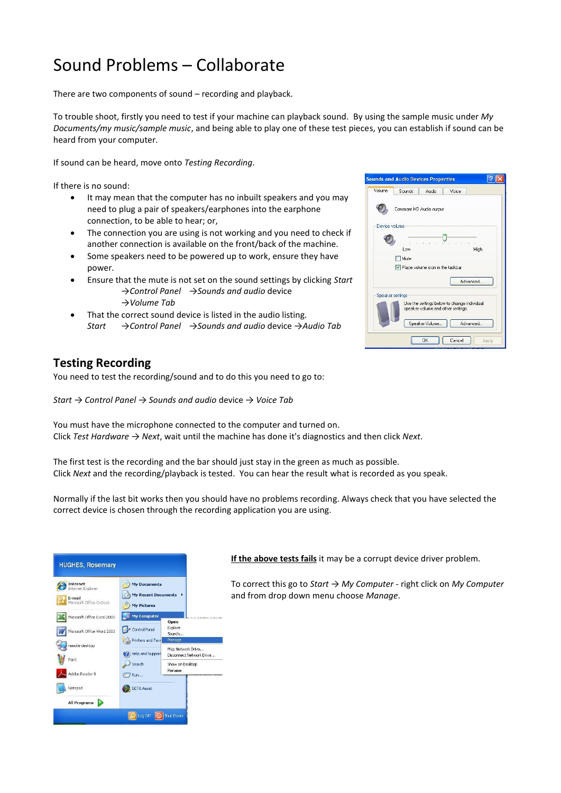## Sound Problems – Collaborate

There are two components of sound – recording and playback.

To trouble shoot, firstly you need to test if your machine can playback sound. By using the sample music under *My Documents/my music/sample music*, and being able to play one of these test pieces, you can establish if sound can be heard from your computer.

If sound can be heard, move onto *Testing Recording*.

If there is no sound:

- It may mean that the computer has no inbuilt speakers and you may need to plug a pair of speakers/earphones into the earphone connection, to be able to hear; or,
- The connection you are using is not working and you need to check if another connection is available on the front/back of the machine.
- Some speakers need to be powered up to work, ensure they have power.
- Ensure that the mute is not set on the sound settings by clicking *Start →Control Panel →Sounds and audio* device *→Volume Tab*
- That the correct sound device is listed in the audio listing*. Start →Control Panel →Sounds and audio* device *→Audio Tab*

| Volume           | Sounds                           | Audio          | Voice                                                                             |      |
|------------------|----------------------------------|----------------|-----------------------------------------------------------------------------------|------|
|                  | Conexant HD Audio output         |                |                                                                                   |      |
| Device volume    |                                  |                |                                                                                   |      |
|                  |                                  | $(11 - 1)$     | $\mathbf{E} = \mathbf{E}$                                                         |      |
|                  | I nw                             |                |                                                                                   | High |
|                  | Mute                             |                |                                                                                   |      |
|                  | Place volume icon in the taskbar |                |                                                                                   |      |
|                  |                                  |                |                                                                                   |      |
|                  |                                  |                | Advanced                                                                          |      |
| Speaker settings |                                  |                |                                                                                   |      |
|                  |                                  |                | Use the settings below to change individual<br>speaker volume and other settings. |      |
|                  |                                  | Speaker Volume | Advanced                                                                          |      |

## **Testing Recording**

You need to test the recording/sound and to do this you need to go to:

*Start → Control Panel → Sounds and audio* device *→ Voice Tab*

You must have the microphone connected to the computer and turned on. Click *Test Hardware → Next*, wait until the machine has done it's diagnostics and then click *Next*.

The first test is the recording and the bar should just stay in the green as much as possible. Click *Next* and the recording/playback is tested. You can hear the result what is recorded as you speak.

Normally if the last bit works then you should have no problems recording. Always check that you have selected the correct device is chosen through the recording application you are using.



**If the above tests fails** it may be a corrupt device driver problem.

To correct this go to *Start → My Computer* - right click on *My Computer* and from drop down menu choose *Manage*.